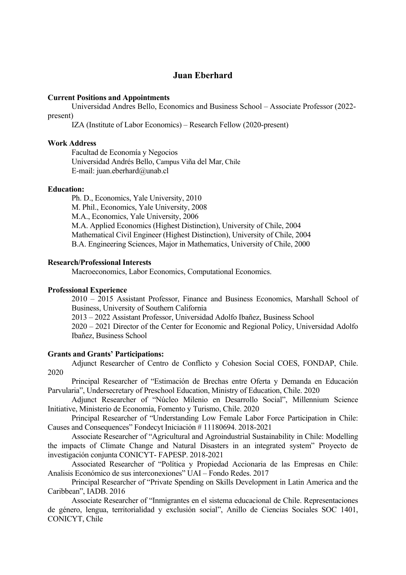# **Juan Eberhard**

### **Current Positions and Appointments**

 Universidad Andres Bello, Economics and Business School – Associate Professor (2022 present)

IZA (Institute of Labor Economics) – Research Fellow (2020-present)

### **Work Address**

 Facultad de Economía y Negocios Universidad Andrés Bello, Campus Viña del Mar, Chile E-mail: juan.eberhard@unab.cl

### **Education:**

Ph. D., Economics, Yale University, 2010 M. Phil., Economics, Yale University, 2008 M.A., Economics, Yale University, 2006 M.A. Applied Economics (Highest Distinction), University of Chile, 2004 Mathematical Civil Engineer (Highest Distinction), University of Chile, 2004 B.A. Engineering Sciences, Major in Mathematics, University of Chile, 2000

#### **Research/Professional Interests**

Macroeconomics, Labor Economics, Computational Economics.

#### **Professional Experience**

2010 – 2015 Assistant Professor, Finance and Business Economics, Marshall School of Business, University of Southern California

2013 – 2022 Assistant Professor, Universidad Adolfo Ibañez, Business School 2020 – 2021 Director of the Center for Economic and Regional Policy, Universidad Adolfo Ibañez, Business School

### **Grants and Grants' Participations:**

Adjunct Researcher of Centro de Conflicto y Cohesion Social COES, FONDAP, Chile. 2020

Principal Researcher of "Estimación de Brechas entre Oferta y Demanda en Educación Parvularia", Undersecretary of Preschool Education, Ministry of Education, Chile. 2020

Adjunct Researcher of "Núcleo Milenio en Desarrollo Social", Millennium Science Initiative, Ministerio de Economía, Fomento y Turismo, Chile. 2020

Principal Researcher of "Understanding Low Female Labor Force Participation in Chile: Causes and Consequences" Fondecyt Iniciación # 11180694. 2018-2021

 Associate Researcher of "Agricultural and Agroindustrial Sustainability in Chile: Modelling the impacts of Climate Change and Natural Disasters in an integrated system" Proyecto de investigación conjunta CONICYT- FAPESP. 2018-2021

Associated Researcher of "Política y Propiedad Accionaria de las Empresas en Chile: Analisis Económico de sus interconexiones" UAI – Fondo Redes. 2017

Principal Researcher of "Private Spending on Skills Development in Latin America and the Caribbean", IADB. 2016

 Associate Researcher of "Inmigrantes en el sistema educacional de Chile. Representaciones de género, lengua, territorialidad y exclusión social", Anillo de Ciencias Sociales SOC 1401, CONICYT, Chile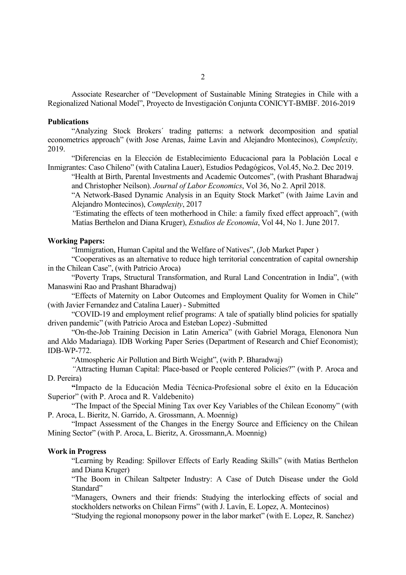Associate Researcher of "Development of Sustainable Mining Strategies in Chile with a Regionalized National Model", Proyecto de Investigación Conjunta CONICYT-BMBF. 2016-2019

#### **Publications**

"Analyzing Stock Brokers´ trading patterns: a network decomposition and spatial econometrics approach" (with Jose Arenas, Jaime Lavin and Alejandro Montecinos), *Complexity,*  2019.

"Diferencias en la Elección de Establecimiento Educacional para la Población Local e Inmigrantes: Caso Chileno" (with Catalina Lauer), Estudios Pedagógicos, Vol.45, No.2. Dec 2019.

 "Health at Birth, Parental Investments and Academic Outcomes", (with Prashant Bharadwaj and Christopher Neilson). *Journal of Labor Economics*, Vol 36, No 2. April 2018.

 "A Network-Based Dynamic Analysis in an Equity Stock Market" (with Jaime Lavin and Alejandro Montecinos), *Complexity*, 2017

 *"*Estimating the effects of teen motherhood in Chile: a family fixed effect approach", (with Matías Berthelon and Diana Kruger), *Estudios de Economía*, Vol 44, No 1. June 2017.

#### **Working Papers:**

"Immigration, Human Capital and the Welfare of Natives", (Job Market Paper )

 "Cooperatives as an alternative to reduce high territorial concentration of capital ownership in the Chilean Case", (with Patricio Aroca)

 "Poverty Traps, Structural Transformation, and Rural Land Concentration in India", (with Manaswini Rao and Prashant Bharadwaj)

 "Effects of Maternity on Labor Outcomes and Employment Quality for Women in Chile" (with Javier Fernandez and Catalina Lauer) - Submitted

 "COVID-19 and employment relief programs: A tale of spatially blind policies for spatially driven pandemic" (with Patricio Aroca and Esteban Lopez) -Submitted

 "On-the-Job Training Decision in Latin America" (with Gabriel Moraga, Elenonora Nun and Aldo Madariaga). IDB Working Paper Series (Department of Research and Chief Economist); IDB-WP-772.

"Atmospheric Air Pollution and Birth Weight", (with P. Bharadwaj)

 *"*Attracting Human Capital: Place-based or People centered Policies?" (with P. Aroca and D. Pereira)

 **"**Impacto de la Educación Media Técnica-Profesional sobre el éxito en la Educación Superior" (with P. Aroca and R. Valdebenito)

"The Impact of the Special Mining Tax over Key Variables of the Chilean Economy" (with P. Aroca, L. Bieritz, N. Garrido, A. Grossmann, A. Moennig)

 "Impact Assessment of the Changes in the Energy Source and Efficiency on the Chilean Mining Sector" (with P. Aroca, L. Bieritz, A. Grossmann,A. Moennig)

#### **Work in Progress**

 "Learning by Reading: Spillover Effects of Early Reading Skills" (with Matías Berthelon and Diana Kruger)

 "The Boom in Chilean Saltpeter Industry: A Case of Dutch Disease under the Gold Standard"

 "Managers, Owners and their friends: Studying the interlocking effects of social and stockholders networks on Chilean Firms" (with J. Lavín, E. Lopez, A. Montecinos)

"Studying the regional monopsony power in the labor market" (with E. Lopez, R. Sanchez)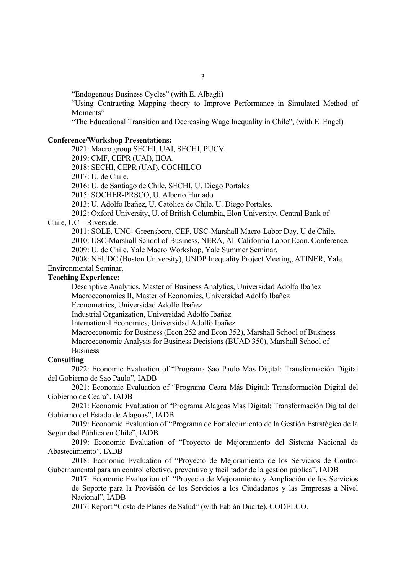"Endogenous Business Cycles" (with E. Albagli)

 "Using Contracting Mapping theory to Improve Performance in Simulated Method of Moments"

"The Educational Transition and Decreasing Wage Inequality in Chile", (with E. Engel)

### **Conference/Workshop Presentations:**

2021: Macro group SECHI, UAI, SECHI, PUCV.

2019: CMF, CEPR (UAI), IIOA.

2018: SECHI, CEPR (UAI), COCHILCO

2017: U. de Chile.

2016: U. de Santiago de Chile, SECHI, U. Diego Portales

2015: SOCHER-PRSCO, U. Alberto Hurtado

2013: U. Adolfo Ibañez, U. Católica de Chile. U. Diego Portales.

2012: Oxford University, U. of British Columbia, Elon University, Central Bank of

## Chile, UC – Riverside.

2011: SOLE, UNC- Greensboro, CEF, USC-Marshall Macro-Labor Day, U de Chile.

2010: USC-Marshall School of Business, NERA, All California Labor Econ. Conference.

2009: U. de Chile, Yale Macro Workshop, Yale Summer Seminar.

 2008: NEUDC (Boston University), UNDP Inequality Project Meeting, ATINER, Yale Environmental Seminar.

### **Teaching Experience:**

Descriptive Analytics, Master of Business Analytics, Universidad Adolfo Ibañez Macroeconomics II, Master of Economics, Universidad Adolfo Ibañez Econometrics, Universidad Adolfo Ibañez Industrial Organization, Universidad Adolfo Ibañez

International Economics, Universidad Adolfo Ibañez

Macroeconomic for Business (Econ 252 and Econ 352), Marshall School of Business Macroeconomic Analysis for Business Decisions (BUAD 350), Marshall School of Business

#### **Consulting**

2022: Economic Evaluation of "Programa Sao Paulo Más Digital: Transformación Digital del Gobierno de Sao Paulo", IADB

2021: Economic Evaluation of "Programa Ceara Más Digital: Transformación Digital del Gobierno de Ceara", IADB

 2021: Economic Evaluation of "Programa Alagoas Más Digital: Transformación Digital del Gobierno del Estado de Alagoas", IADB

2019: Economic Evaluation of "Programa de Fortalecimiento de la Gestión Estratégica de la Seguridad Pública en Chile", IADB

 2019: Economic Evaluation of "Proyecto de Mejoramiento del Sistema Nacional de Abastecimiento", IADB

2018: Economic Evaluation of "Proyecto de Mejoramiento de los Servicios de Control Gubernamental para un control efectivo, preventivo y facilitador de la gestión pública", IADB

 2017: Economic Evaluation of "Proyecto de Mejoramiento y Ampliación de los Servicios de Soporte para la Provisión de los Servicios a los Ciudadanos y las Empresas a Nivel Nacional", IADB

2017: Report "Costo de Planes de Salud" (with Fabián Duarte), CODELCO.